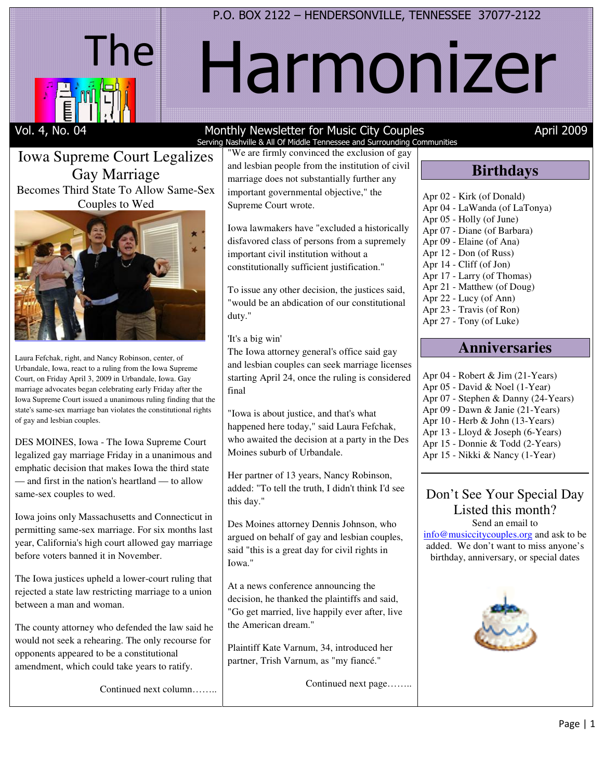

P.O. BOX 2122 – HENDERSONVILLE, TENNESSEE 37077-2122

# Harmonizer

#### Vol. 4, No. 04 **Monthly Newsletter for Music City Couples** April 2009 Serving Nashville & All Of Middle Tennessee and Surrounding Communities

# Iowa Supreme Court Legalizes Gay Marriage Becomes Third State To Allow Same-Sex Couples to Wed



Laura Fefchak, right, and Nancy Robinson, center, of Urbandale, Iowa, react to a ruling from the Iowa Supreme Court, on Friday April 3, 2009 in Urbandale, Iowa. Gay marriage advocates began celebrating early Friday after the Iowa Supreme Court issued a unanimous ruling finding that the state's same-sex marriage ban violates the constitutional rights of gay and lesbian couples.

DES MOINES, Iowa - The Iowa Supreme Court legalized gay marriage Friday in a unanimous and emphatic decision that makes Iowa the third state — and first in the nation's heartland — to allow same-sex couples to wed.

Iowa joins only Massachusetts and Connecticut in permitting same-sex marriage. For six months last year, California's high court allowed gay marriage before voters banned it in November.

The Iowa justices upheld a lower-court ruling that rejected a state law restricting marriage to a union between a man and woman.

The county attorney who defended the law said he would not seek a rehearing. The only recourse for opponents appeared to be a constitutional amendment, which could take years to ratify.

Continued next column……..

"We are firmly convinced the exclusion of gay and lesbian people from the institution of civil marriage does not substantially further any important governmental objective," the Supreme Court wrote.

Iowa lawmakers have "excluded a historically disfavored class of persons from a supremely important civil institution without a constitutionally sufficient justification."

To issue any other decision, the justices said, "would be an abdication of our constitutional duty."

'It's a big win'

The Iowa attorney general's office said gay and lesbian couples can seek marriage licenses starting April 24, once the ruling is considered final

"Iowa is about justice, and that's what happened here today," said Laura Fefchak, who awaited the decision at a party in the Des Moines suburb of Urbandale.

Her partner of 13 years, Nancy Robinson, added: "To tell the truth, I didn't think I'd see this day."

Des Moines attorney Dennis Johnson, who argued on behalf of gay and lesbian couples, said "this is a great day for civil rights in Iowa."

At a news conference announcing the decision, he thanked the plaintiffs and said, "Go get married, live happily ever after, live the American dream."

Plaintiff Kate Varnum, 34, introduced her partner, Trish Varnum, as "my fiancé."

Continued next page……..

# **Birthdays**

Apr 02 - Kirk (of Donald) Apr 04 - LaWanda (of LaTonya) Apr 05 - Holly (of June) Apr 07 - Diane (of Barbara) Apr 09 - Elaine (of Ana) Apr 12 - Don (of Russ) Apr 14 - Cliff (of Jon) Apr 17 - Larry (of Thomas) Apr 21 - Matthew (of Doug) Apr 22 - Lucy (of Ann) Apr 23 - Travis (of Ron) Apr 27 - Tony (of Luke)

# **Anniversaries**

- Apr 04 Robert & Jim (21-Years)
- Apr 05 David & Noel (1-Year)
- Apr 07 Stephen & Danny (24-Years)
- Apr 09 Dawn & Janie (21-Years)
- Apr 10 Herb & John (13-Years)
- Apr 13 Lloyd & Joseph (6-Years)
- Apr 15 Donnie & Todd (2-Years) Apr 15 - Nikki & Nancy (1-Year)

# Don't See Your Special Day Listed this month?

Send an email to info@musiccitycouples.org and ask to be added. We don't want to miss anyone's birthday, anniversary, or special dates

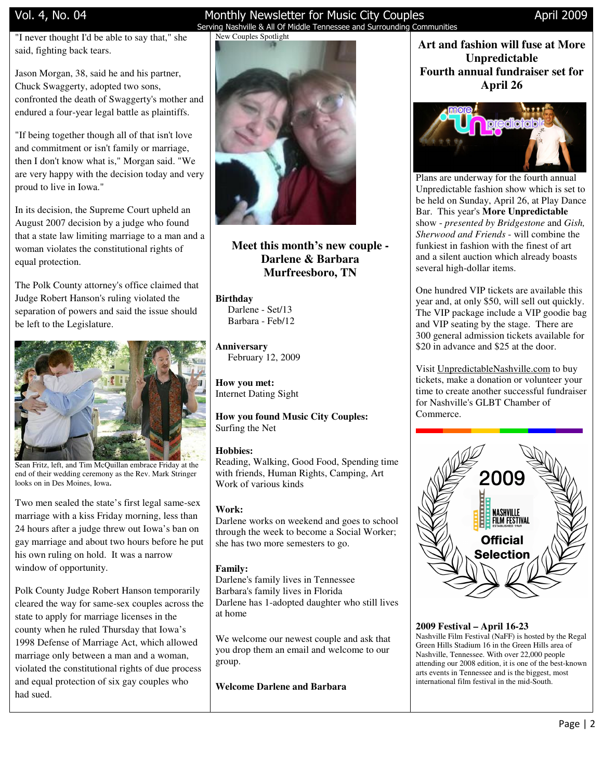Vol. 4, No. 04 **Monthly Newsletter for Music City Couples** April 2009 Serving Nashville & All Of Middle Tennessee and Surrounding Communities

"I never thought I'd be able to say that," she said, fighting back tears.

Jason Morgan, 38, said he and his partner, Chuck Swaggerty, adopted two sons, confronted the death of Swaggerty's mother and endured a four-year legal battle as plaintiffs.

"If being together though all of that isn't love and commitment or isn't family or marriage, then I don't know what is," Morgan said. "We are very happy with the decision today and very proud to live in Iowa."

In its decision, the Supreme Court upheld an August 2007 decision by a judge who found that a state law limiting marriage to a man and a woman violates the constitutional rights of equal protection.

The Polk County attorney's office claimed that Judge Robert Hanson's ruling violated the separation of powers and said the issue should be left to the Legislature.



Sean Fritz, left, and Tim McQuillan embrace Friday at the end of their wedding ceremony as the Rev. Mark Stringer looks on in Des Moines, Iowa.

Two men sealed the state's first legal same-sex marriage with a kiss Friday morning, less than 24 hours after a judge threw out Iowa's ban on gay marriage and about two hours before he put his own ruling on hold. It was a narrow window of opportunity.

Polk County Judge Robert Hanson temporarily cleared the way for same-sex couples across the state to apply for marriage licenses in the county when he ruled Thursday that Iowa's 1998 Defense of Marriage Act, which allowed marriage only between a man and a woman, violated the constitutional rights of due process and equal protection of six gay couples who had sued.

New Couples Spotlight



**Meet this month's new couple - Darlene & Barbara Murfreesboro, TN** 

#### **Birthday**

 Darlene - Set/13 Barbara - Feb/12

**Anniversary** February 12, 2009

**How you met:**  Internet Dating Sight

**How you found Music City Couples:**  Surfing the Net

#### **Hobbies:**

Reading, Walking, Good Food, Spending time with friends, Human Rights, Camping, Art Work of various kinds

# **Work:**

Darlene works on weekend and goes to school through the week to become a Social Worker; she has two more semesters to go.

# **Family:**

Darlene's family lives in Tennessee Barbara's family lives in Florida Darlene has 1-adopted daughter who still lives at home

We welcome our newest couple and ask that you drop them an email and welcome to our group.

**Welcome Darlene and Barbara**

### **Art and fashion will fuse at More Unpredictable Fourth annual fundraiser set for April 26**



Plans are underway for the fourth annual Unpredictable fashion show which is set to be held on Sunday, April 26, at Play Dance Bar. This year's **More Unpredictable**  show - *presented by Bridgestone* and *Gish, Sherwood and Friends* - will combine the funkiest in fashion with the finest of art and a silent auction which already boasts several high-dollar items.

One hundred VIP tickets are available this year and, at only \$50, will sell out quickly. The VIP package include a VIP goodie bag and VIP seating by the stage. There are 300 general admission tickets available for \$20 in advance and \$25 at the door.

Visit UnpredictableNashville.com to buy tickets, make a donation or volunteer your time to create another successful fundraiser for Nashville's GLBT Chamber of Commerce.



#### **2009 Festival – April 16-23**

Nashville Film Festival (NaFF) is hosted by the Regal Green Hills Stadium 16 in the Green Hills area of Nashville, Tennessee. With over 22,000 people attending our 2008 edition, it is one of the best-known arts events in Tennessee and is the biggest, most international film festival in the mid-South.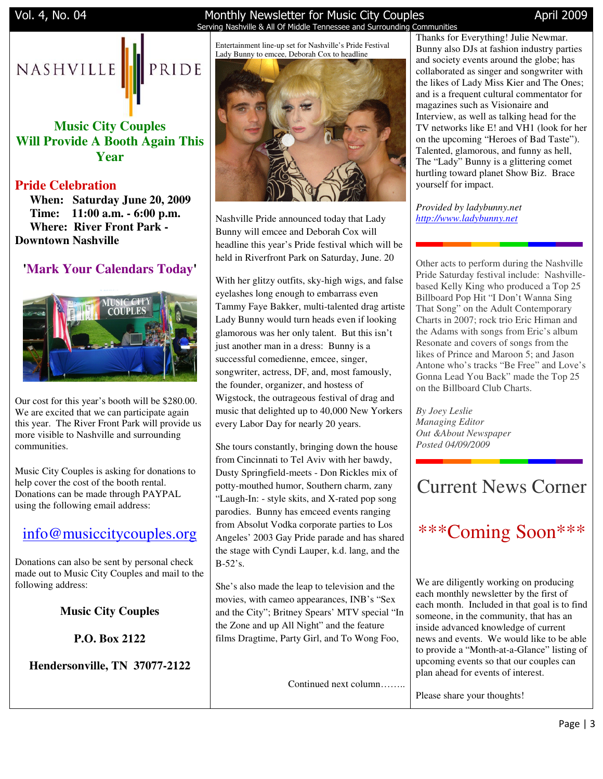

# **Music City Couples Will Provide A Booth Again This Year**

## **Pride Celebration**

 **When: Saturday June 20, 2009 Time: 11:00 a.m. - 6:00 p.m. Where: River Front Park - Downtown Nashville**

# **'Mark Your Calendars Today'**



Our cost for this year's booth will be \$280.00. We are excited that we can participate again this year. The River Front Park will provide us more visible to Nashville and surrounding communities.

Music City Couples is asking for donations to help cover the cost of the booth rental. Donations can be made through PAYPAL using the following email address:

# info@musiccitycouples.org

Donations can also be sent by personal check made out to Music City Couples and mail to the following address:

**Music City Couples** 

**P.O. Box 2122** 

**Hendersonville, TN 37077-2122** 

#### Vol. 4, No. 04 **Monthly Newsletter for Music City Couples** April 2009 Serving Nashville & All Of Middle Tennessee and Surrounding Communities

Entertainment line-up set for Nashville's Pride Festival Lady Bunny to emcee, Deborah Cox to headline



Nashville Pride announced today that Lady Bunny will emcee and Deborah Cox will headline this year's Pride festival which will be held in Riverfront Park on Saturday, June. 20

With her glitzy outfits, sky-high wigs, and false eyelashes long enough to embarrass even Tammy Faye Bakker, multi-talented drag artiste Lady Bunny would turn heads even if looking glamorous was her only talent. But this isn't just another man in a dress: Bunny is a successful comedienne, emcee, singer, songwriter, actress, DF, and, most famously, the founder, organizer, and hostess of Wigstock, the outrageous festival of drag and music that delighted up to 40,000 New Yorkers every Labor Day for nearly 20 years.

She tours constantly, bringing down the house from Cincinnati to Tel Aviv with her bawdy, Dusty Springfield-meets - Don Rickles mix of potty-mouthed humor, Southern charm, zany "Laugh-In: - style skits, and X-rated pop song parodies. Bunny has emceed events ranging from Absolut Vodka corporate parties to Los Angeles' 2003 Gay Pride parade and has shared the stage with Cyndi Lauper, k.d. lang, and the B-52's.

She's also made the leap to television and the movies, with cameo appearances, INB's "Sex and the City"; Britney Spears' MTV special "In the Zone and up All Night" and the feature films Dragtime, Party Girl, and To Wong Foo,

Continued next column……..

Thanks for Everything! Julie Newmar. Bunny also DJs at fashion industry parties and society events around the globe; has collaborated as singer and songwriter with the likes of Lady Miss Kier and The Ones; and is a frequent cultural commentator for magazines such as Visionaire and Interview, as well as talking head for the TV networks like E! and VH1 (look for her on the upcoming "Heroes of Bad Taste"). Talented, glamorous, and funny as hell, The "Lady" Bunny is a glittering comet hurtling toward planet Show Biz. Brace yourself for impact.

*Provided by ladybunny.net http://www.ladybunny.net*

Other acts to perform during the Nashville Pride Saturday festival include: Nashvillebased Kelly King who produced a Top 25 Billboard Pop Hit "I Don't Wanna Sing That Song" on the Adult Contemporary Charts in 2007; rock trio Eric Himan and the Adams with songs from Eric's album Resonate and covers of songs from the likes of Prince and Maroon 5; and Jason Antone who's tracks "Be Free" and Love's Gonna Lead You Back" made the Top 25 on the Billboard Club Charts.

*By Joey Leslie Managing Editor Out &About Newspaper Posted 04/09/2009* 

# Current News Corner

# \*\*\*Coming Soon\*\*\*

We are diligently working on producing each monthly newsletter by the first of each month. Included in that goal is to find someone, in the community, that has an inside advanced knowledge of current news and events. We would like to be able to provide a "Month-at-a-Glance" listing of upcoming events so that our couples can plan ahead for events of interest.

Please share your thoughts!